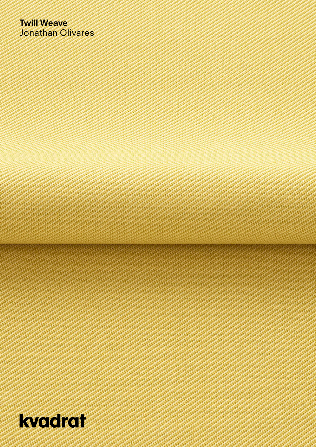## **Twill Weave** Jonathan Olivares